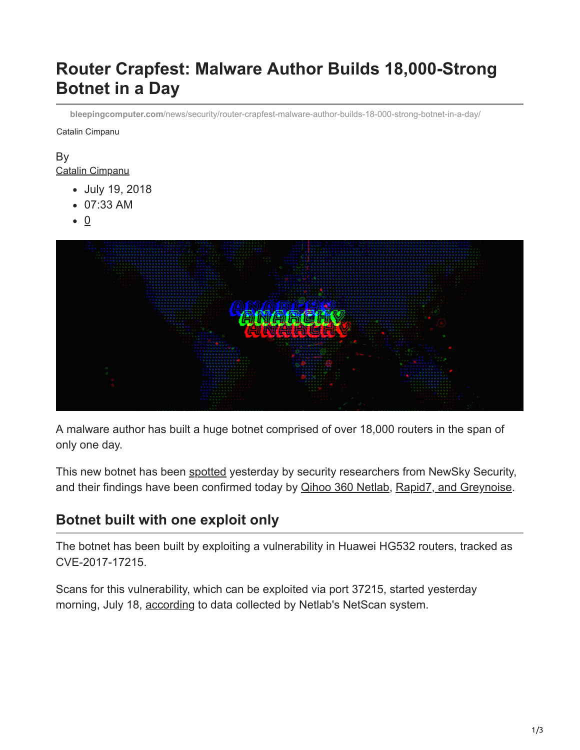# **Router Crapfest: Malware Author Builds 18,000-Strong Botnet in a Day**

**bleepingcomputer.com**[/news/security/router-crapfest-malware-author-builds-18-000-strong-botnet-in-a-day/](https://www.bleepingcomputer.com/news/security/router-crapfest-malware-author-builds-18-000-strong-botnet-in-a-day/)

Catalin Cimpanu

# By

[Catalin Cimpanu](https://www.bleepingcomputer.com/author/catalin-cimpanu/)

- July 19, 2018
- 07:33 AM
- $\bullet$  0



A malware author has built a huge botnet comprised of over 18,000 routers in the span of only one day.

This new botnet has been [spotted](https://twitter.com/ankit_anubhav/status/1019647993547550720) yesterday by security researchers from NewSky Security, and their findings have been confirmed today by **[Qihoo 360 Netlab](https://twitter.com/360Netlab/status/1019759516789821441), Rapid7, and Greynoise**.

## **Botnet built with one exploit only**

The botnet has been built by exploiting a vulnerability in Huawei HG532 routers, tracked as CVE-2017-17215.

Scans for this vulnerability, which can be exploited via port 37215, started yesterday morning, July 18, [according](http://scan.netlab.360.com/#/dashboard?tsbeg=1531411200000&tsend=1532016000000&dstport=37215&toplistname=srcip&topn=10&sortby=sum) to data collected by Netlab's NetScan system.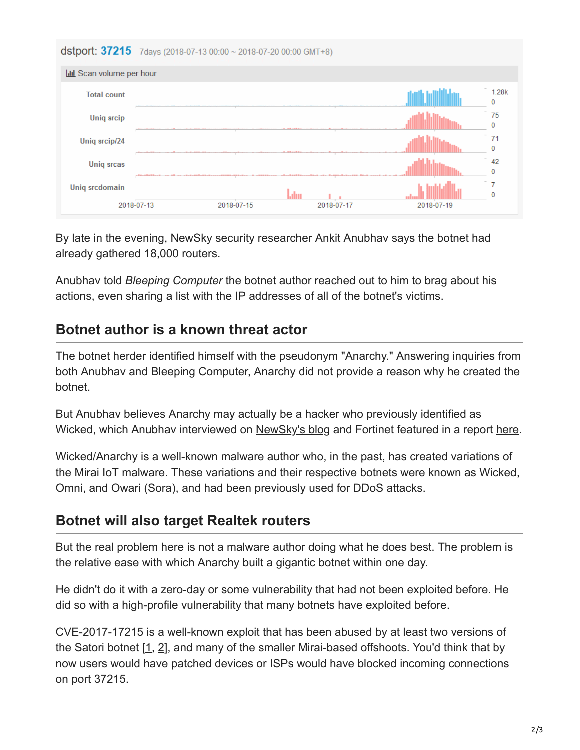|                                 |            | dstport: 37215 7days (2018-07-13 00:00 ~ 2018-07-20 00:00 GMT+8) |            |            |       |
|---------------------------------|------------|------------------------------------------------------------------|------------|------------|-------|
| <b>III</b> Scan volume per hour |            |                                                                  |            |            |       |
| <b>Total count</b>              |            |                                                                  |            |            | 1.28k |
| <b>Uniq srcip</b>               |            |                                                                  |            |            | 75    |
| Uniq srcip/24                   |            |                                                                  |            |            |       |
| <b>Uniq srcas</b>               |            |                                                                  |            |            | 42    |
| Uniq srcdomain                  |            |                                                                  |            |            |       |
|                                 | 2018-07-13 | 2018-07-15                                                       | 2018-07-17 | 2018-07-19 |       |

By late in the evening, NewSky security researcher Ankit Anubhav says the botnet had already gathered 18,000 routers.

Anubhav told *Bleeping Computer* the botnet author reached out to him to brag about his actions, even sharing a list with the IP addresses of all of the botnet's victims.

## **Botnet author is a known threat actor**

The botnet herder identified himself with the pseudonym "Anarchy." Answering inquiries from both Anubhav and Bleeping Computer, Anarchy did not provide a reason why he created the botnet.

But Anubhav believes Anarchy may actually be a hacker who previously identified as Wicked, which Anubhav interviewed on [NewSky's blog](https://blog.newskysecurity.com/understanding-the-iot-hacker-a-conversation-with-owari-sora-iot-botnet-author-117feff56863) and Fortinet featured in a report [here](https://www.fortinet.com/blog/threat-research/a-wicked-family-of-bots.html).

Wicked/Anarchy is a well-known malware author who, in the past, has created variations of the Mirai IoT malware. These variations and their respective botnets were known as Wicked, Omni, and Owari (Sora), and had been previously used for DDoS attacks.

## **Botnet will also target Realtek routers**

But the real problem here is not a malware author doing what he does best. The problem is the relative ease with which Anarchy built a gigantic botnet within one day.

He didn't do it with a zero-day or some vulnerability that had not been exploited before. He did so with a high-profile vulnerability that many botnets have exploited before.

CVE-2017-17215 is a well-known exploit that has been abused by at least two versions of the Satori botnet  $[1, 2]$  $[1, 2]$  $[1, 2]$  $[1, 2]$ , and many of the smaller Mirai-based offshoots. You'd think that by now users would have patched devices or ISPs would have blocked incoming connections on port 37215.